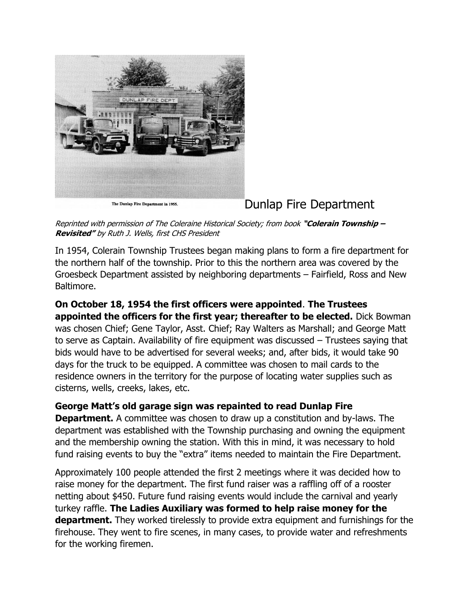

The Dunlap Fire Department in 1955.

## Dunlap Fire Department

Reprinted with permission of The Coleraine Historical Society; from book **"Colerain Township – Revisited"** by Ruth J. Wells, first CHS President

In 1954, Colerain Township Trustees began making plans to form a fire department for the northern half of the township. Prior to this the northern area was covered by the Groesbeck Department assisted by neighboring departments – Fairfield, Ross and New Baltimore.

## **On October 18, 1954 the first officers were appointed**. **The Trustees appointed the officers for the first year; thereafter to be elected.** Dick Bowman was chosen Chief; Gene Taylor, Asst. Chief; Ray Walters as Marshall; and George Matt to serve as Captain. Availability of fire equipment was discussed – Trustees saying that bids would have to be advertised for several weeks; and, after bids, it would take 90 days for the truck to be equipped. A committee was chosen to mail cards to the residence owners in the territory for the purpose of locating water supplies such as cisterns, wells, creeks, lakes, etc.

**George Matt's old garage sign was repainted to read Dunlap Fire Department.** A committee was chosen to draw up a constitution and by-laws. The department was established with the Township purchasing and owning the equipment and the membership owning the station. With this in mind, it was necessary to hold fund raising events to buy the "extra" items needed to maintain the Fire Department.

Approximately 100 people attended the first 2 meetings where it was decided how to raise money for the department. The first fund raiser was a raffling off of a rooster netting about \$450. Future fund raising events would include the carnival and yearly turkey raffle. **The Ladies Auxiliary was formed to help raise money for the department.** They worked tirelessly to provide extra equipment and furnishings for the firehouse. They went to fire scenes, in many cases, to provide water and refreshments for the working firemen.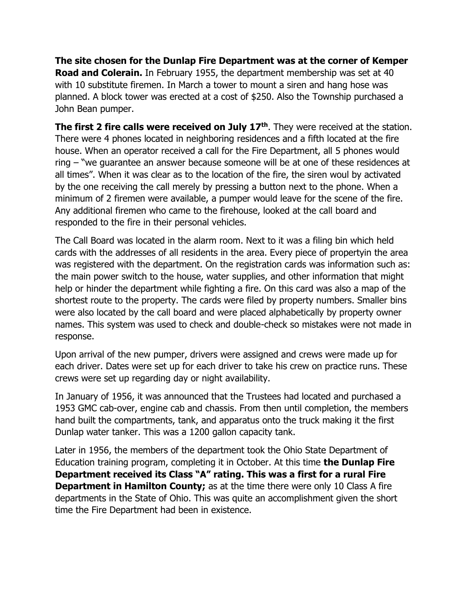**The site chosen for the Dunlap Fire Department was at the corner of Kemper Road and Colerain.** In February 1955, the department membership was set at 40 with 10 substitute firemen. In March a tower to mount a siren and hang hose was planned. A block tower was erected at a cost of \$250. Also the Township purchased a John Bean pumper.

**The first 2 fire calls were received on July 17th**. They were received at the station. There were 4 phones located in neighboring residences and a fifth located at the fire house. When an operator received a call for the Fire Department, all 5 phones would ring – "we guarantee an answer because someone will be at one of these residences at all times". When it was clear as to the location of the fire, the siren woul by activated by the one receiving the call merely by pressing a button next to the phone. When a minimum of 2 firemen were available, a pumper would leave for the scene of the fire. Any additional firemen who came to the firehouse, looked at the call board and responded to the fire in their personal vehicles.

The Call Board was located in the alarm room. Next to it was a filing bin which held cards with the addresses of all residents in the area. Every piece of propertyin the area was registered with the department. On the registration cards was information such as: the main power switch to the house, water supplies, and other information that might help or hinder the department while fighting a fire. On this card was also a map of the shortest route to the property. The cards were filed by property numbers. Smaller bins were also located by the call board and were placed alphabetically by property owner names. This system was used to check and double-check so mistakes were not made in response.

Upon arrival of the new pumper, drivers were assigned and crews were made up for each driver. Dates were set up for each driver to take his crew on practice runs. These crews were set up regarding day or night availability.

In January of 1956, it was announced that the Trustees had located and purchased a 1953 GMC cab-over, engine cab and chassis. From then until completion, the members hand built the compartments, tank, and apparatus onto the truck making it the first Dunlap water tanker. This was a 1200 gallon capacity tank.

Later in 1956, the members of the department took the Ohio State Department of Education training program, completing it in October. At this time **the Dunlap Fire Department received its Class "A" rating. This was a first for a rural Fire Department in Hamilton County;** as at the time there were only 10 Class A fire departments in the State of Ohio. This was quite an accomplishment given the short time the Fire Department had been in existence.